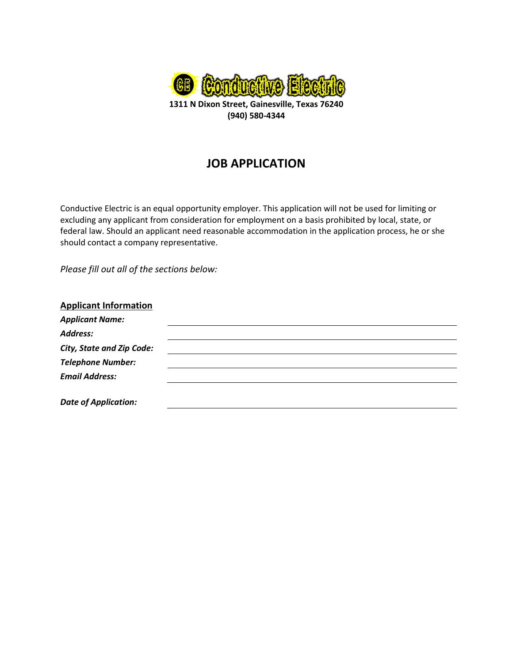

**(940) 580-4344**

# **JOB APPLICATION**

Conductive Electric is an equal opportunity employer. This application will not be used for limiting or excluding any applicant from consideration for employment on a basis prohibited by local, state, or federal law. Should an applicant need reasonable accommodation in the application process, he or she should contact a company representative.

*Please fill out all of the sections below:*

| <b>Applicant Information</b> |  |
|------------------------------|--|
| <b>Applicant Name:</b>       |  |
| <b>Address:</b>              |  |
| City, State and Zip Code:    |  |
| <b>Telephone Number:</b>     |  |
| <b>Email Address:</b>        |  |
|                              |  |
| <b>Date of Application:</b>  |  |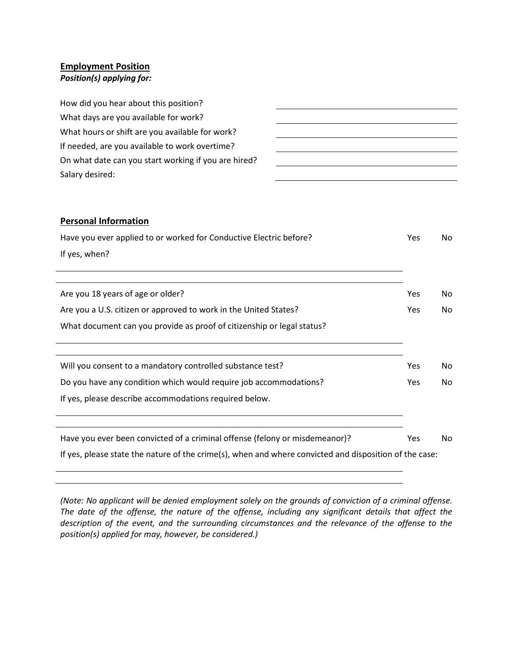## **Employment Position**

## *Position(s) applying for:*

| How did you hear about this position?                |  |
|------------------------------------------------------|--|
| What days are you available for work?                |  |
| What hours or shift are you available for work?      |  |
| If needed, are you available to work overtime?       |  |
| On what date can you start working if you are hired? |  |
| Salary desired:                                      |  |
|                                                      |  |

## **Personal Information**

| Have you ever applied to or worked for Conductive Electric before?                                     | <b>Yes</b> | No  |
|--------------------------------------------------------------------------------------------------------|------------|-----|
| If yes, when?                                                                                          |            |     |
|                                                                                                        |            |     |
| Are you 18 years of age or older?                                                                      | <b>Yes</b> | No. |
| Are you a U.S. citizen or approved to work in the United States?                                       | Yes.       | No. |
| What document can you provide as proof of citizenship or legal status?                                 |            |     |
|                                                                                                        |            |     |
| Will you consent to a mandatory controlled substance test?                                             | <b>Yes</b> | No. |
| Do you have any condition which would require job accommodations?                                      | <b>Yes</b> | No. |
| If yes, please describe accommodations required below.                                                 |            |     |
|                                                                                                        |            |     |
| Have you ever been convicted of a criminal offense (felony or misdemeanor)?                            | <b>Yes</b> | No. |
| If yes, please state the nature of the crime(s), when and where convicted and disposition of the case: |            |     |

*(Note: No applicant will be denied employment solely on the grounds of conviction of a criminal offense. The date of the offense, the nature of the offense, including any significant details that affect the description of the event, and the surrounding circumstances and the relevance of the offense to the position(s) applied for may, however, be considered.)*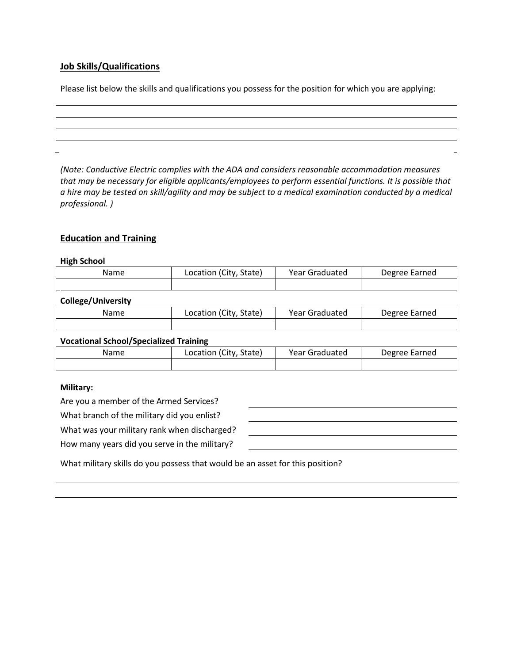## **Job Skills/Qualifications**

Please list below the skills and qualifications you possess for the position for which you are applying:

*(Note: Conductive Electric complies with the ADA and considers reasonable accommodation measures that may be necessary for eligible applicants/employees to perform essential functions. It is possible that a hire may be tested on skill/agility and may be subject to a medical examination conducted by a medical professional. )*

## **Education and Training**

#### **High School**

| Name | Location (City, State) | Year Graduated | Degree Earned |
|------|------------------------|----------------|---------------|
|      |                        |                |               |

## **College/University**

| Name | Location (City, State) | Year Graduated | Degree Earned |
|------|------------------------|----------------|---------------|
|      |                        |                |               |

#### **Vocational School/Specialized Training**

| Name | Location (City, State) | Year Graduated | Degree Earned |
|------|------------------------|----------------|---------------|
|      |                        |                |               |

#### **Military:**

Are you a member of the Armed Services?

What branch of the military did you enlist?

What was your military rank when discharged?

How many years did you serve in the military?

| <u> 1989 - Andrea Andrew Maria (h. 1989).</u> |  |  |
|-----------------------------------------------|--|--|
|                                               |  |  |
|                                               |  |  |
|                                               |  |  |

What military skills do you possess that would be an asset for this position?